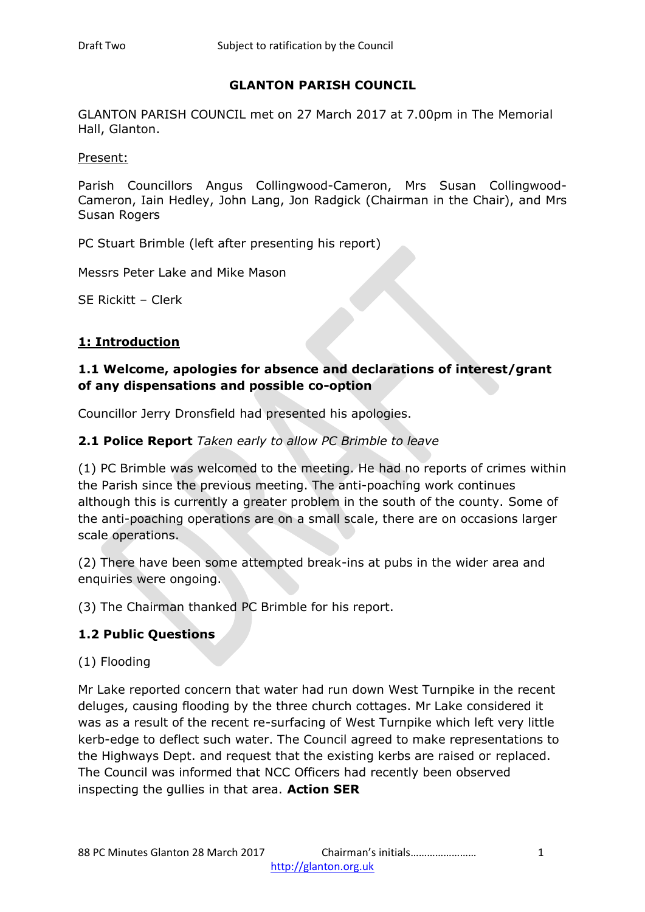### **GLANTON PARISH COUNCIL**

GLANTON PARISH COUNCIL met on 27 March 2017 at 7.00pm in The Memorial Hall, Glanton.

Present:

Parish Councillors Angus Collingwood-Cameron, Mrs Susan Collingwood-Cameron, Iain Hedley, John Lang, Jon Radgick (Chairman in the Chair), and Mrs Susan Rogers

PC Stuart Brimble (left after presenting his report)

Messrs Peter Lake and Mike Mason

SE Rickitt – Clerk

#### **1: Introduction**

### **1.1 Welcome, apologies for absence and declarations of interest/grant of any dispensations and possible co-option**

Councillor Jerry Dronsfield had presented his apologies.

### **2.1 Police Report** *Taken early to allow PC Brimble to leave*

(1) PC Brimble was welcomed to the meeting. He had no reports of crimes within the Parish since the previous meeting. The anti-poaching work continues although this is currently a greater problem in the south of the county. Some of the anti-poaching operations are on a small scale, there are on occasions larger scale operations.

(2) There have been some attempted break-ins at pubs in the wider area and enquiries were ongoing.

(3) The Chairman thanked PC Brimble for his report.

### **1.2 Public Questions**

### (1) Flooding

Mr Lake reported concern that water had run down West Turnpike in the recent deluges, causing flooding by the three church cottages. Mr Lake considered it was as a result of the recent re-surfacing of West Turnpike which left very little kerb-edge to deflect such water. The Council agreed to make representations to the Highways Dept. and request that the existing kerbs are raised or replaced. The Council was informed that NCC Officers had recently been observed inspecting the gullies in that area. **Action SER**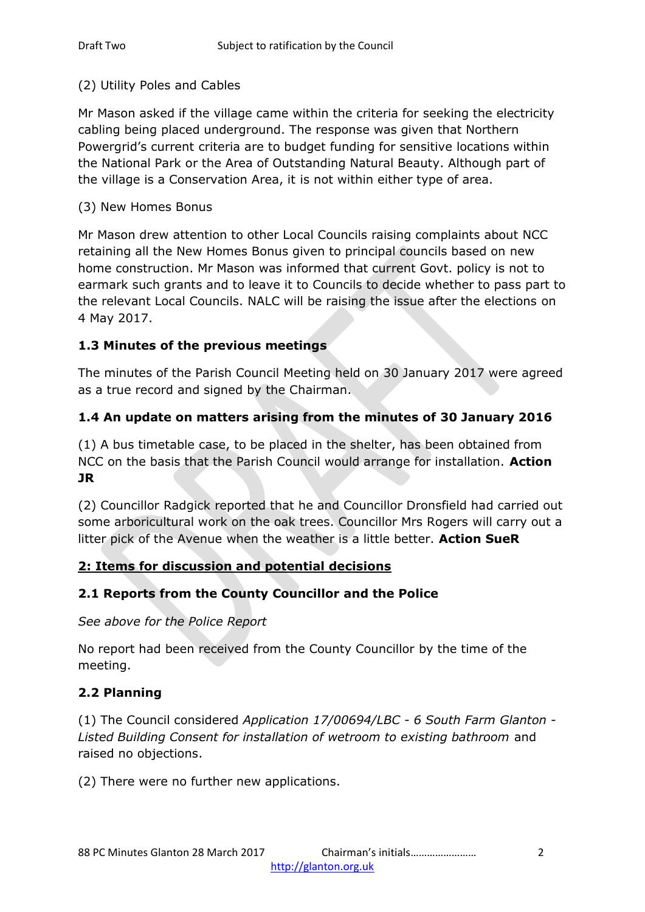#### (2) Utility Poles and Cables

Mr Mason asked if the village came within the criteria for seeking the electricity cabling being placed underground. The response was given that Northern Powergrid's current criteria are to budget funding for sensitive locations within the National Park or the Area of Outstanding Natural Beauty. Although part of the village is a Conservation Area, it is not within either type of area.

#### (3) New Homes Bonus

Mr Mason drew attention to other Local Councils raising complaints about NCC retaining all the New Homes Bonus given to principal councils based on new home construction. Mr Mason was informed that current Govt. policy is not to earmark such grants and to leave it to Councils to decide whether to pass part to the relevant Local Councils. NALC will be raising the issue after the elections on 4 May 2017.

### **1.3 Minutes of the previous meetings**

The minutes of the Parish Council Meeting held on 30 January 2017 were agreed as a true record and signed by the Chairman.

## **1.4 An update on matters arising from the minutes of 30 January 2016**

(1) A bus timetable case, to be placed in the shelter, has been obtained from NCC on the basis that the Parish Council would arrange for installation. **Action JR**

(2) Councillor Radgick reported that he and Councillor Dronsfield had carried out some arboricultural work on the oak trees. Councillor Mrs Rogers will carry out a litter pick of the Avenue when the weather is a little better. **Action SueR**

### **2: Items for discussion and potential decisions**

### **2.1 Reports from the County Councillor and the Police**

*See above for the Police Report*

No report had been received from the County Councillor by the time of the meeting.

### **2.2 Planning**

(1) The Council considered *Application 17/00694/LBC - 6 South Farm Glanton - Listed Building Consent for installation of wetroom to existing bathroom* and raised no objections.

(2) There were no further new applications.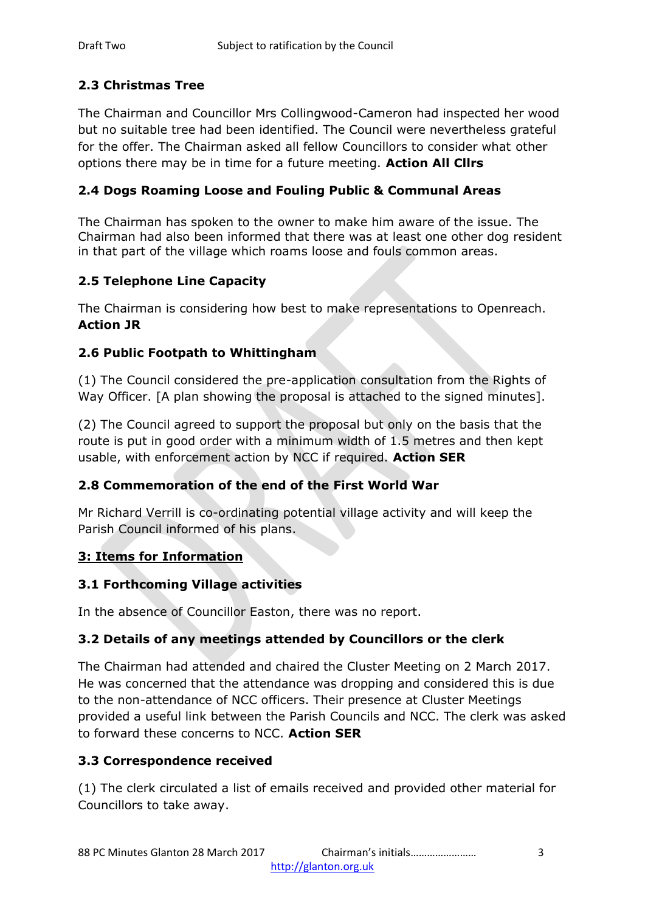# **2.3 Christmas Tree**

The Chairman and Councillor Mrs Collingwood-Cameron had inspected her wood but no suitable tree had been identified. The Council were nevertheless grateful for the offer. The Chairman asked all fellow Councillors to consider what other options there may be in time for a future meeting. **Action All Cllrs**

## **2.4 Dogs Roaming Loose and Fouling Public & Communal Areas**

The Chairman has spoken to the owner to make him aware of the issue. The Chairman had also been informed that there was at least one other dog resident in that part of the village which roams loose and fouls common areas.

## **2.5 Telephone Line Capacity**

The Chairman is considering how best to make representations to Openreach. **Action JR**

## **2.6 Public Footpath to Whittingham**

(1) The Council considered the pre-application consultation from the Rights of Way Officer. [A plan showing the proposal is attached to the signed minutes].

(2) The Council agreed to support the proposal but only on the basis that the route is put in good order with a minimum width of 1.5 metres and then kept usable, with enforcement action by NCC if required. **Action SER**

### **2.8 Commemoration of the end of the First World War**

Mr Richard Verrill is co-ordinating potential village activity and will keep the Parish Council informed of his plans.

### **3: Items for Information**

### **3.1 Forthcoming Village activities**

In the absence of Councillor Easton, there was no report.

### **3.2 Details of any meetings attended by Councillors or the clerk**

The Chairman had attended and chaired the Cluster Meeting on 2 March 2017. He was concerned that the attendance was dropping and considered this is due to the non-attendance of NCC officers. Their presence at Cluster Meetings provided a useful link between the Parish Councils and NCC. The clerk was asked to forward these concerns to NCC. **Action SER**

### **3.3 Correspondence received**

(1) The clerk circulated a list of emails received and provided other material for Councillors to take away.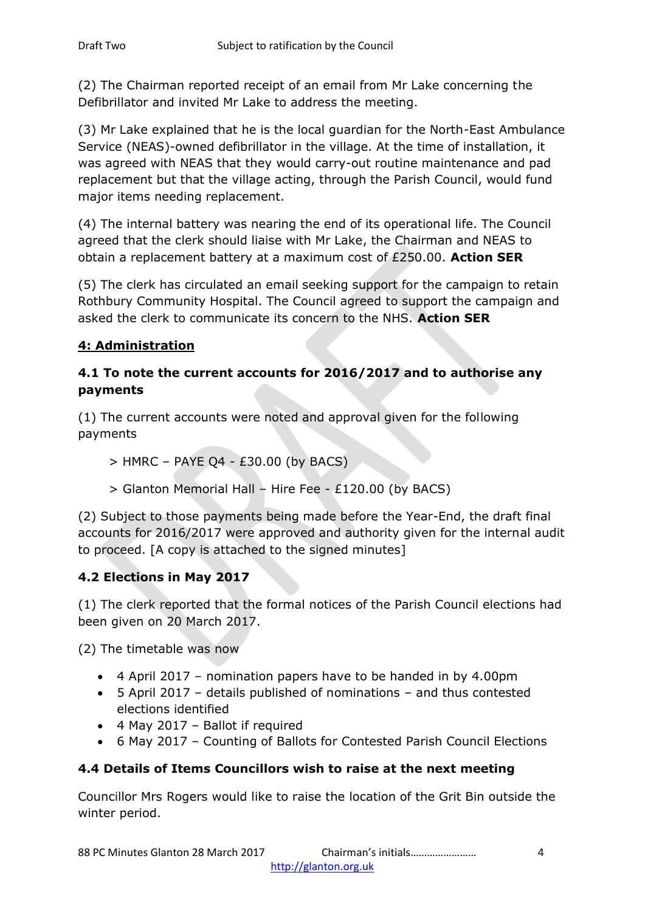(2) The Chairman reported receipt of an email from Mr Lake concerning the Defibrillator and invited Mr Lake to address the meeting.

(3) Mr Lake explained that he is the local guardian for the North-East Ambulance Service (NEAS)-owned defibrillator in the village. At the time of installation, it was agreed with NEAS that they would carry-out routine maintenance and pad replacement but that the village acting, through the Parish Council, would fund major items needing replacement.

(4) The internal battery was nearing the end of its operational life. The Council agreed that the clerk should liaise with Mr Lake, the Chairman and NEAS to obtain a replacement battery at a maximum cost of £250.00. **Action SER**

(5) The clerk has circulated an email seeking support for the campaign to retain Rothbury Community Hospital. The Council agreed to support the campaign and asked the clerk to communicate its concern to the NHS. **Action SER**

# **4: Administration**

## **4.1 To note the current accounts for 2016/2017 and to authorise any payments**

(1) The current accounts were noted and approval given for the following payments

- $>$  HMRC PAYE Q4 £30.00 (by BACS)
- > Glanton Memorial Hall Hire Fee £120.00 (by BACS)

(2) Subject to those payments being made before the Year-End, the draft final accounts for 2016/2017 were approved and authority given for the internal audit to proceed. [A copy is attached to the signed minutes]

# **4.2 Elections in May 2017**

(1) The clerk reported that the formal notices of the Parish Council elections had been given on 20 March 2017.

(2) The timetable was now

- 4 April 2017 nomination papers have to be handed in by 4.00pm
- 5 April 2017 details published of nominations and thus contested elections identified
- 4 May 2017 Ballot if required
- 6 May 2017 Counting of Ballots for Contested Parish Council Elections

# **4.4 Details of Items Councillors wish to raise at the next meeting**

Councillor Mrs Rogers would like to raise the location of the Grit Bin outside the winter period.